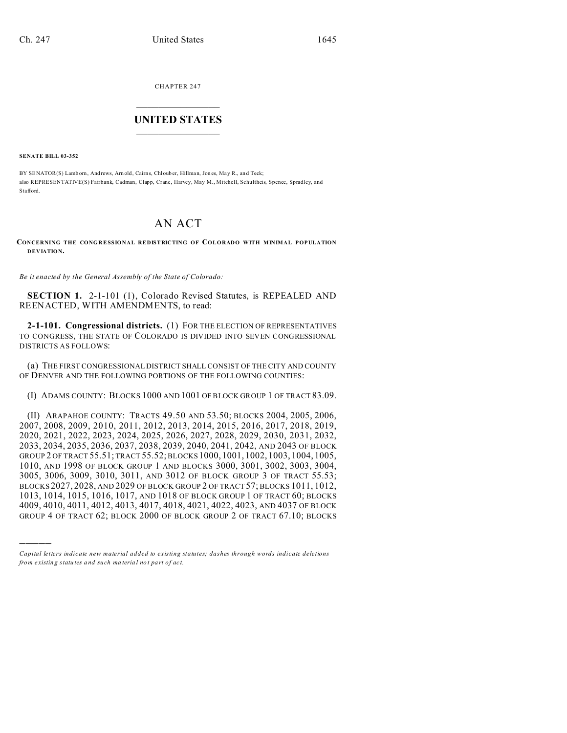CHAPTER 247  $\overline{\phantom{a}}$  , where  $\overline{\phantom{a}}$ 

# **UNITED STATES** \_\_\_\_\_\_\_\_\_\_\_\_\_\_\_

**SENATE BILL 03-352**

)))))

BY SENATOR(S) Lamborn, And rews, Arn old, Cairns, Chloub er, Hillman, Jon es, May R., an d Teck; also REPRESENTATIVE(S) Fairbank, Cadman, Clapp, Crane, Harvey, May M., Mitchell, Schultheis, Spence, Spradley, and Stafford.

# AN ACT

**CONCERNING THE CONGRESSIONAL REDISTRICTING OF COLORADO WITH MINIMAL POPULATION DEVIATION.**

*Be it enacted by the General Assembly of the State of Colorado:*

**SECTION 1.** 2-1-101 (1), Colorado Revised Statutes, is REPEALED AND REENACTED, WITH AMENDMENTS, to read:

**2-1-101. Congressional districts.** (1) FOR THE ELECTION OF REPRESENTATIVES TO CONGRESS, THE STATE OF COLORADO IS DIVIDED INTO SEVEN CONGRESSIONAL DISTRICTS AS FOLLOWS:

(a) THE FIRST CONGRESSIONAL DISTRICT SHALL CONSIST OF THE CITY AND COUNTY OF DENVER AND THE FOLLOWING PORTIONS OF THE FOLLOWING COUNTIES:

(I) ADAMS COUNTY: BLOCKS 1000 AND 1001 OF BLOCK GROUP 1 OF TRACT 83.09.

(II) ARAPAHOE COUNTY: TRACTS 49.50 AND 53.50; BLOCKS 2004, 2005, 2006, 2007, 2008, 2009, 2010, 2011, 2012, 2013, 2014, 2015, 2016, 2017, 2018, 2019, 2020, 2021, 2022, 2023, 2024, 2025, 2026, 2027, 2028, 2029, 2030, 2031, 2032, 2033, 2034, 2035, 2036, 2037, 2038, 2039, 2040, 2041, 2042, AND 2043 OF BLOCK GROUP 2 OF TRACT 55.51; TRACT 55.52; BLOCKS 1000, 1001, 1002, 1003, 1004, 1005, 1010, AND 1998 OF BLOCK GROUP 1 AND BLOCKS 3000, 3001, 3002, 3003, 3004, 3005, 3006, 3009, 3010, 3011, AND 3012 OF BLOCK GROUP 3 OF TRACT 55.53; BLOCKS 2027, 2028, AND 2029 OF BLOCK GROUP 2 OF TRACT 57; BLOCKS 1011, 1012, 1013, 1014, 1015, 1016, 1017, AND 1018 OF BLOCK GROUP 1 OF TRACT 60; BLOCKS 4009, 4010, 4011, 4012, 4013, 4017, 4018, 4021, 4022, 4023, AND 4037 OF BLOCK GROUP 4 OF TRACT 62; BLOCK 2000 OF BLOCK GROUP 2 OF TRACT 67.10; BLOCKS

*Capital letters indicate new material added to existing statutes; dashes through words indicate deletions from e xistin g statu tes a nd such ma teria l no t pa rt of ac t.*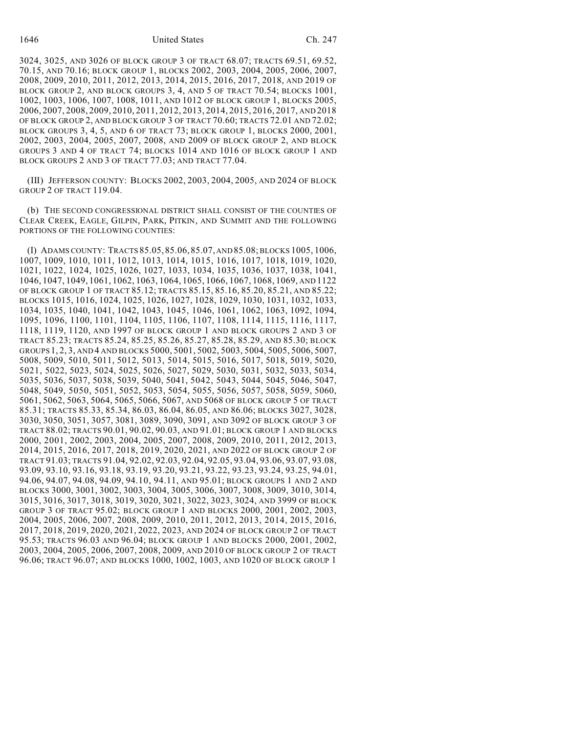1646 United States Ch. 247

3024, 3025, AND 3026 OF BLOCK GROUP 3 OF TRACT 68.07; TRACTS 69.51, 69.52, 70.15, AND 70.16; BLOCK GROUP 1, BLOCKS 2002, 2003, 2004, 2005, 2006, 2007, 2008, 2009, 2010, 2011, 2012, 2013, 2014, 2015, 2016, 2017, 2018, AND 2019 OF BLOCK GROUP 2, AND BLOCK GROUPS 3, 4, AND 5 OF TRACT 70.54; BLOCKS 1001, 1002, 1003, 1006, 1007, 1008, 1011, AND 1012 OF BLOCK GROUP 1, BLOCKS 2005, 2006, 2007, 2008, 2009, 2010, 2011, 2012, 2013, 2014, 2015, 2016, 2017, AND 2018 OF BLOCK GROUP 2, AND BLOCK GROUP 3 OF TRACT 70.60; TRACTS 72.01 AND 72.02; BLOCK GROUPS 3, 4, 5, AND 6 OF TRACT 73; BLOCK GROUP 1, BLOCKS 2000, 2001, 2002, 2003, 2004, 2005, 2007, 2008, AND 2009 OF BLOCK GROUP 2, AND BLOCK GROUPS 3 AND 4 OF TRACT 74; BLOCKS 1014 AND 1016 OF BLOCK GROUP 1 AND BLOCK GROUPS 2 AND 3 OF TRACT 77.03; AND TRACT 77.04.

(III) JEFFERSON COUNTY: BLOCKS 2002, 2003, 2004, 2005, AND 2024 OF BLOCK GROUP 2 OF TRACT 119.04.

(b) THE SECOND CONGRESSIONAL DISTRICT SHALL CONSIST OF THE COUNTIES OF CLEAR CREEK, EAGLE, GILPIN, PARK, PITKIN, AND SUMMIT AND THE FOLLOWING PORTIONS OF THE FOLLOWING COUNTIES:

(I) ADAMS COUNTY: TRACTS 85.05,85.06,85.07, AND 85.08; BLOCKS 1005, 1006, 1007, 1009, 1010, 1011, 1012, 1013, 1014, 1015, 1016, 1017, 1018, 1019, 1020, 1021, 1022, 1024, 1025, 1026, 1027, 1033, 1034, 1035, 1036, 1037, 1038, 1041, 1046, 1047, 1049, 1061, 1062, 1063, 1064, 1065, 1066, 1067, 1068, 1069, AND 1122 OF BLOCK GROUP 1 OF TRACT 85.12; TRACTS 85.15, 85.16, 85.20, 85.21, AND 85.22; BLOCKS 1015, 1016, 1024, 1025, 1026, 1027, 1028, 1029, 1030, 1031, 1032, 1033, 1034, 1035, 1040, 1041, 1042, 1043, 1045, 1046, 1061, 1062, 1063, 1092, 1094, 1095, 1096, 1100, 1101, 1104, 1105, 1106, 1107, 1108, 1114, 1115, 1116, 1117, 1118, 1119, 1120, AND 1997 OF BLOCK GROUP 1 AND BLOCK GROUPS 2 AND 3 OF TRACT 85.23; TRACTS 85.24, 85.25, 85.26, 85.27, 85.28, 85.29, AND 85.30; BLOCK GROUPS1, 2, 3, AND 4 AND BLOCKS 5000, 5001, 5002, 5003, 5004, 5005, 5006, 5007, 5008, 5009, 5010, 5011, 5012, 5013, 5014, 5015, 5016, 5017, 5018, 5019, 5020, 5021, 5022, 5023, 5024, 5025, 5026, 5027, 5029, 5030, 5031, 5032, 5033, 5034, 5035, 5036, 5037, 5038, 5039, 5040, 5041, 5042, 5043, 5044, 5045, 5046, 5047, 5048, 5049, 5050, 5051, 5052, 5053, 5054, 5055, 5056, 5057, 5058, 5059, 5060, 5061, 5062, 5063, 5064, 5065, 5066, 5067, AND 5068 OF BLOCK GROUP 5 OF TRACT 85.31; TRACTS 85.33, 85.34, 86.03, 86.04, 86.05, AND 86.06; BLOCKS 3027, 3028, 3030, 3050, 3051, 3057, 3081, 3089, 3090, 3091, AND 3092 OF BLOCK GROUP 3 OF TRACT 88.02; TRACTS 90.01, 90.02, 90.03, AND 91.01; BLOCK GROUP 1 AND BLOCKS 2000, 2001, 2002, 2003, 2004, 2005, 2007, 2008, 2009, 2010, 2011, 2012, 2013, 2014, 2015, 2016, 2017, 2018, 2019, 2020, 2021, AND 2022 OF BLOCK GROUP 2 OF TRACT 91.03; TRACTS 91.04, 92.02, 92.03, 92.04, 92.05, 93.04, 93.06, 93.07, 93.08, 93.09, 93.10, 93.16, 93.18, 93.19, 93.20, 93.21, 93.22, 93.23, 93.24, 93.25, 94.01, 94.06, 94.07, 94.08, 94.09, 94.10, 94.11, AND 95.01; BLOCK GROUPS 1 AND 2 AND BLOCKS 3000, 3001, 3002, 3003, 3004, 3005, 3006, 3007, 3008, 3009, 3010, 3014, 3015, 3016, 3017, 3018, 3019, 3020, 3021, 3022, 3023, 3024, AND 3999 OF BLOCK GROUP 3 OF TRACT 95.02; BLOCK GROUP 1 AND BLOCKS 2000, 2001, 2002, 2003, 2004, 2005, 2006, 2007, 2008, 2009, 2010, 2011, 2012, 2013, 2014, 2015, 2016, 2017, 2018, 2019, 2020, 2021, 2022, 2023, AND 2024 OF BLOCK GROUP 2 OF TRACT 95.53; TRACTS 96.03 AND 96.04; BLOCK GROUP 1 AND BLOCKS 2000, 2001, 2002, 2003, 2004, 2005, 2006, 2007, 2008, 2009, AND 2010 OF BLOCK GROUP 2 OF TRACT 96.06; TRACT 96.07; AND BLOCKS 1000, 1002, 1003, AND 1020 OF BLOCK GROUP 1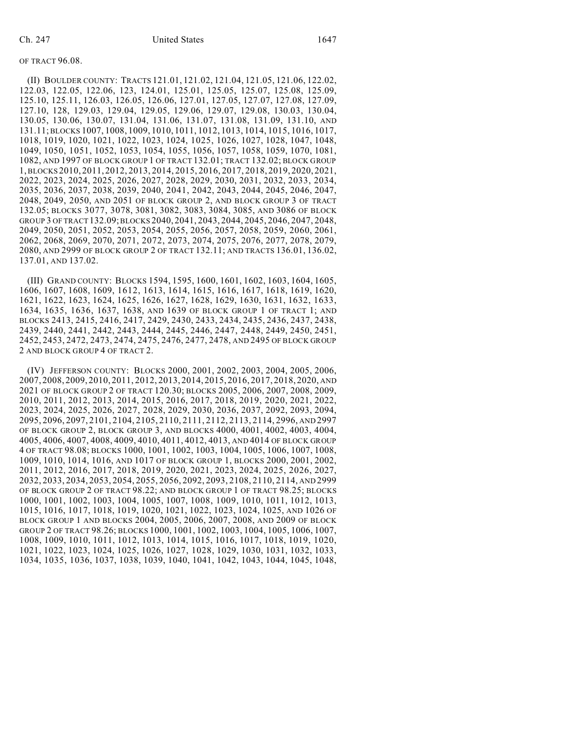#### OF TRACT 96.08.

(II) BOULDER COUNTY: TRACTS 121.01, 121.02, 121.04, 121.05, 121.06, 122.02, 122.03, 122.05, 122.06, 123, 124.01, 125.01, 125.05, 125.07, 125.08, 125.09, 125.10, 125.11, 126.03, 126.05, 126.06, 127.01, 127.05, 127.07, 127.08, 127.09, 127.10, 128, 129.03, 129.04, 129.05, 129.06, 129.07, 129.08, 130.03, 130.04, 130.05, 130.06, 130.07, 131.04, 131.06, 131.07, 131.08, 131.09, 131.10, AND 131.11; BLOCKS 1007, 1008, 1009, 1010, 1011, 1012, 1013, 1014, 1015, 1016, 1017, 1018, 1019, 1020, 1021, 1022, 1023, 1024, 1025, 1026, 1027, 1028, 1047, 1048, 1049, 1050, 1051, 1052, 1053, 1054, 1055, 1056, 1057, 1058, 1059, 1070, 1081, 1082, AND 1997 OF BLOCK GROUP 1 OF TRACT 132.01; TRACT 132.02; BLOCK GROUP 1, BLOCKS 2010, 2011, 2012, 2013, 2014, 2015, 2016, 2017, 2018, 2019, 2020, 2021, 2022, 2023, 2024, 2025, 2026, 2027, 2028, 2029, 2030, 2031, 2032, 2033, 2034, 2035, 2036, 2037, 2038, 2039, 2040, 2041, 2042, 2043, 2044, 2045, 2046, 2047, 2048, 2049, 2050, AND 2051 OF BLOCK GROUP 2, AND BLOCK GROUP 3 OF TRACT 132.05; BLOCKS 3077, 3078, 3081, 3082, 3083, 3084, 3085, AND 3086 OF BLOCK GROUP 3 OF TRACT 132.09; BLOCKS 2040, 2041, 2043, 2044, 2045, 2046, 2047, 2048, 2049, 2050, 2051, 2052, 2053, 2054, 2055, 2056, 2057, 2058, 2059, 2060, 2061, 2062, 2068, 2069, 2070, 2071, 2072, 2073, 2074, 2075, 2076, 2077, 2078, 2079, 2080, AND 2999 OF BLOCK GROUP 2 OF TRACT 132.11; AND TRACTS 136.01, 136.02, 137.01, AND 137.02.

(III) GRAND COUNTY: BLOCKS 1594, 1595, 1600, 1601, 1602, 1603, 1604, 1605, 1606, 1607, 1608, 1609, 1612, 1613, 1614, 1615, 1616, 1617, 1618, 1619, 1620, 1621, 1622, 1623, 1624, 1625, 1626, 1627, 1628, 1629, 1630, 1631, 1632, 1633, 1634, 1635, 1636, 1637, 1638, AND 1639 OF BLOCK GROUP 1 OF TRACT 1; AND BLOCKS 2413, 2415, 2416, 2417, 2429, 2430, 2433, 2434, 2435, 2436, 2437, 2438, 2439, 2440, 2441, 2442, 2443, 2444, 2445, 2446, 2447, 2448, 2449, 2450, 2451, 2452, 2453, 2472, 2473, 2474, 2475, 2476, 2477, 2478, AND 2495 OF BLOCK GROUP 2 AND BLOCK GROUP 4 OF TRACT 2.

(IV) JEFFERSON COUNTY: BLOCKS 2000, 2001, 2002, 2003, 2004, 2005, 2006, 2007, 2008, 2009, 2010, 2011, 2012, 2013, 2014, 2015, 2016, 2017, 2018, 2020, AND 2021 OF BLOCK GROUP 2 OF TRACT 120.30; BLOCKS 2005, 2006, 2007, 2008, 2009, 2010, 2011, 2012, 2013, 2014, 2015, 2016, 2017, 2018, 2019, 2020, 2021, 2022, 2023, 2024, 2025, 2026, 2027, 2028, 2029, 2030, 2036, 2037, 2092, 2093, 2094, 2095, 2096, 2097, 2101, 2104, 2105, 2110, 2111, 2112, 2113, 2114, 2996, AND 2997 OF BLOCK GROUP 2, BLOCK GROUP 3, AND BLOCKS 4000, 4001, 4002, 4003, 4004, 4005, 4006, 4007, 4008, 4009, 4010, 4011, 4012, 4013, AND 4014 OF BLOCK GROUP 4 OF TRACT 98.08; BLOCKS 1000, 1001, 1002, 1003, 1004, 1005, 1006, 1007, 1008, 1009, 1010, 1014, 1016, AND 1017 OF BLOCK GROUP 1, BLOCKS 2000, 2001, 2002, 2011, 2012, 2016, 2017, 2018, 2019, 2020, 2021, 2023, 2024, 2025, 2026, 2027, 2032, 2033, 2034, 2053, 2054, 2055, 2056, 2092, 2093, 2108, 2110, 2114, AND 2999 OF BLOCK GROUP 2 OF TRACT 98.22; AND BLOCK GROUP 1 OF TRACT 98.25; BLOCKS 1000, 1001, 1002, 1003, 1004, 1005, 1007, 1008, 1009, 1010, 1011, 1012, 1013, 1015, 1016, 1017, 1018, 1019, 1020, 1021, 1022, 1023, 1024, 1025, AND 1026 OF BLOCK GROUP 1 AND BLOCKS 2004, 2005, 2006, 2007, 2008, AND 2009 OF BLOCK GROUP 2 OF TRACT 98.26; BLOCKS 1000, 1001, 1002, 1003, 1004, 1005, 1006, 1007, 1008, 1009, 1010, 1011, 1012, 1013, 1014, 1015, 1016, 1017, 1018, 1019, 1020, 1021, 1022, 1023, 1024, 1025, 1026, 1027, 1028, 1029, 1030, 1031, 1032, 1033, 1034, 1035, 1036, 1037, 1038, 1039, 1040, 1041, 1042, 1043, 1044, 1045, 1048,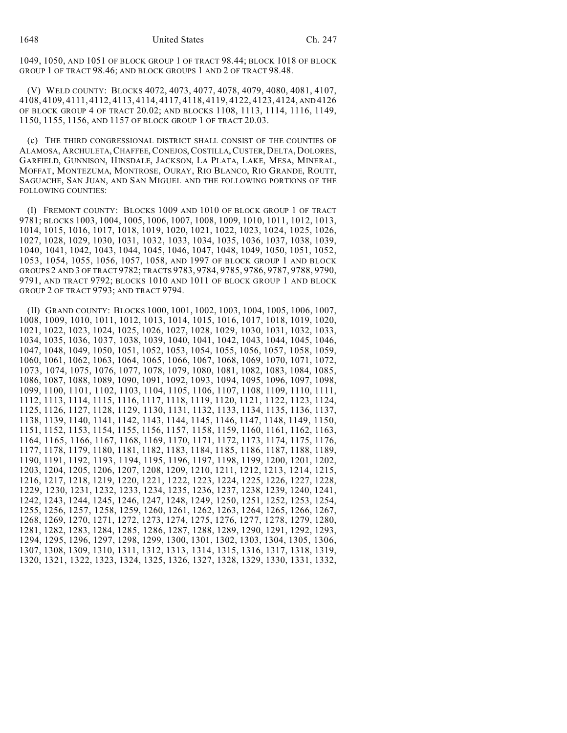1049, 1050, AND 1051 OF BLOCK GROUP 1 OF TRACT 98.44; BLOCK 1018 OF BLOCK GROUP 1 OF TRACT 98.46; AND BLOCK GROUPS 1 AND 2 OF TRACT 98.48.

(V) WELD COUNTY: BLOCKS 4072, 4073, 4077, 4078, 4079, 4080, 4081, 4107, 4108, 4109, 4111, 4112, 4113, 4114, 4117, 4118, 4119, 4122, 4123, 4124, AND 4126 OF BLOCK GROUP 4 OF TRACT 20.02; AND BLOCKS 1108, 1113, 1114, 1116, 1149, 1150, 1155, 1156, AND 1157 OF BLOCK GROUP 1 OF TRACT 20.03.

(c) THE THIRD CONGRESSIONAL DISTRICT SHALL CONSIST OF THE COUNTIES OF ALAMOSA, ARCHULETA,CHAFFEE,CONEJOS,COSTILLA,CUSTER, DELTA, DOLORES, GARFIELD, GUNNISON, HINSDALE, JACKSON, LA PLATA, LAKE, MESA, MINERAL, MOFFAT, MONTEZUMA, MONTROSE, OURAY, RIO BLANCO, RIO GRANDE, ROUTT, SAGUACHE, SAN JUAN, AND SAN MIGUEL AND THE FOLLOWING PORTIONS OF THE FOLLOWING COUNTIES:

(I) FREMONT COUNTY: BLOCKS 1009 AND 1010 OF BLOCK GROUP 1 OF TRACT 9781; BLOCKS 1003, 1004, 1005, 1006, 1007, 1008, 1009, 1010, 1011, 1012, 1013, 1014, 1015, 1016, 1017, 1018, 1019, 1020, 1021, 1022, 1023, 1024, 1025, 1026, 1027, 1028, 1029, 1030, 1031, 1032, 1033, 1034, 1035, 1036, 1037, 1038, 1039, 1040, 1041, 1042, 1043, 1044, 1045, 1046, 1047, 1048, 1049, 1050, 1051, 1052, 1053, 1054, 1055, 1056, 1057, 1058, AND 1997 OF BLOCK GROUP 1 AND BLOCK GROUPS 2 AND 3 OF TRACT 9782; TRACTS 9783, 9784, 9785, 9786, 9787, 9788, 9790, 9791, AND TRACT 9792; BLOCKS 1010 AND 1011 OF BLOCK GROUP 1 AND BLOCK GROUP 2 OF TRACT 9793; AND TRACT 9794.

(II) GRAND COUNTY: BLOCKS 1000, 1001, 1002, 1003, 1004, 1005, 1006, 1007, 1008, 1009, 1010, 1011, 1012, 1013, 1014, 1015, 1016, 1017, 1018, 1019, 1020, 1021, 1022, 1023, 1024, 1025, 1026, 1027, 1028, 1029, 1030, 1031, 1032, 1033, 1034, 1035, 1036, 1037, 1038, 1039, 1040, 1041, 1042, 1043, 1044, 1045, 1046, 1047, 1048, 1049, 1050, 1051, 1052, 1053, 1054, 1055, 1056, 1057, 1058, 1059, 1060, 1061, 1062, 1063, 1064, 1065, 1066, 1067, 1068, 1069, 1070, 1071, 1072, 1073, 1074, 1075, 1076, 1077, 1078, 1079, 1080, 1081, 1082, 1083, 1084, 1085, 1086, 1087, 1088, 1089, 1090, 1091, 1092, 1093, 1094, 1095, 1096, 1097, 1098, 1099, 1100, 1101, 1102, 1103, 1104, 1105, 1106, 1107, 1108, 1109, 1110, 1111, 1112, 1113, 1114, 1115, 1116, 1117, 1118, 1119, 1120, 1121, 1122, 1123, 1124, 1125, 1126, 1127, 1128, 1129, 1130, 1131, 1132, 1133, 1134, 1135, 1136, 1137, 1138, 1139, 1140, 1141, 1142, 1143, 1144, 1145, 1146, 1147, 1148, 1149, 1150, 1151, 1152, 1153, 1154, 1155, 1156, 1157, 1158, 1159, 1160, 1161, 1162, 1163, 1164, 1165, 1166, 1167, 1168, 1169, 1170, 1171, 1172, 1173, 1174, 1175, 1176, 1177, 1178, 1179, 1180, 1181, 1182, 1183, 1184, 1185, 1186, 1187, 1188, 1189, 1190, 1191, 1192, 1193, 1194, 1195, 1196, 1197, 1198, 1199, 1200, 1201, 1202, 1203, 1204, 1205, 1206, 1207, 1208, 1209, 1210, 1211, 1212, 1213, 1214, 1215, 1216, 1217, 1218, 1219, 1220, 1221, 1222, 1223, 1224, 1225, 1226, 1227, 1228, 1229, 1230, 1231, 1232, 1233, 1234, 1235, 1236, 1237, 1238, 1239, 1240, 1241, 1242, 1243, 1244, 1245, 1246, 1247, 1248, 1249, 1250, 1251, 1252, 1253, 1254, 1255, 1256, 1257, 1258, 1259, 1260, 1261, 1262, 1263, 1264, 1265, 1266, 1267, 1268, 1269, 1270, 1271, 1272, 1273, 1274, 1275, 1276, 1277, 1278, 1279, 1280, 1281, 1282, 1283, 1284, 1285, 1286, 1287, 1288, 1289, 1290, 1291, 1292, 1293, 1294, 1295, 1296, 1297, 1298, 1299, 1300, 1301, 1302, 1303, 1304, 1305, 1306, 1307, 1308, 1309, 1310, 1311, 1312, 1313, 1314, 1315, 1316, 1317, 1318, 1319, 1320, 1321, 1322, 1323, 1324, 1325, 1326, 1327, 1328, 1329, 1330, 1331, 1332,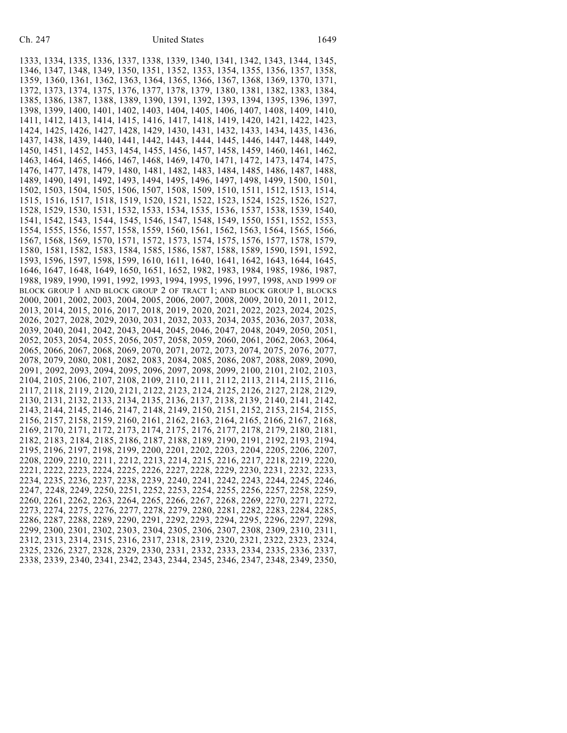1333, 1334, 1335, 1336, 1337, 1338, 1339, 1340, 1341, 1342, 1343, 1344, 1345, 1346, 1347, 1348, 1349, 1350, 1351, 1352, 1353, 1354, 1355, 1356, 1357, 1358, 1359, 1360, 1361, 1362, 1363, 1364, 1365, 1366, 1367, 1368, 1369, 1370, 1371, 1372, 1373, 1374, 1375, 1376, 1377, 1378, 1379, 1380, 1381, 1382, 1383, 1384, 1385, 1386, 1387, 1388, 1389, 1390, 1391, 1392, 1393, 1394, 1395, 1396, 1397, 1398, 1399, 1400, 1401, 1402, 1403, 1404, 1405, 1406, 1407, 1408, 1409, 1410, 1411, 1412, 1413, 1414, 1415, 1416, 1417, 1418, 1419, 1420, 1421, 1422, 1423, 1424, 1425, 1426, 1427, 1428, 1429, 1430, 1431, 1432, 1433, 1434, 1435, 1436, 1437, 1438, 1439, 1440, 1441, 1442, 1443, 1444, 1445, 1446, 1447, 1448, 1449, 1450, 1451, 1452, 1453, 1454, 1455, 1456, 1457, 1458, 1459, 1460, 1461, 1462, 1463, 1464, 1465, 1466, 1467, 1468, 1469, 1470, 1471, 1472, 1473, 1474, 1475, 1476, 1477, 1478, 1479, 1480, 1481, 1482, 1483, 1484, 1485, 1486, 1487, 1488, 1489, 1490, 1491, 1492, 1493, 1494, 1495, 1496, 1497, 1498, 1499, 1500, 1501, 1502, 1503, 1504, 1505, 1506, 1507, 1508, 1509, 1510, 1511, 1512, 1513, 1514, 1515, 1516, 1517, 1518, 1519, 1520, 1521, 1522, 1523, 1524, 1525, 1526, 1527, 1528, 1529, 1530, 1531, 1532, 1533, 1534, 1535, 1536, 1537, 1538, 1539, 1540, 1541, 1542, 1543, 1544, 1545, 1546, 1547, 1548, 1549, 1550, 1551, 1552, 1553, 1554, 1555, 1556, 1557, 1558, 1559, 1560, 1561, 1562, 1563, 1564, 1565, 1566, 1567, 1568, 1569, 1570, 1571, 1572, 1573, 1574, 1575, 1576, 1577, 1578, 1579, 1580, 1581, 1582, 1583, 1584, 1585, 1586, 1587, 1588, 1589, 1590, 1591, 1592, 1593, 1596, 1597, 1598, 1599, 1610, 1611, 1640, 1641, 1642, 1643, 1644, 1645, 1646, 1647, 1648, 1649, 1650, 1651, 1652, 1982, 1983, 1984, 1985, 1986, 1987, 1988, 1989, 1990, 1991, 1992, 1993, 1994, 1995, 1996, 1997, 1998, AND 1999 OF BLOCK GROUP 1 AND BLOCK GROUP 2 OF TRACT 1; AND BLOCK GROUP 1, BLOCKS 2000, 2001, 2002, 2003, 2004, 2005, 2006, 2007, 2008, 2009, 2010, 2011, 2012, 2013, 2014, 2015, 2016, 2017, 2018, 2019, 2020, 2021, 2022, 2023, 2024, 2025, 2026, 2027, 2028, 2029, 2030, 2031, 2032, 2033, 2034, 2035, 2036, 2037, 2038, 2039, 2040, 2041, 2042, 2043, 2044, 2045, 2046, 2047, 2048, 2049, 2050, 2051, 2052, 2053, 2054, 2055, 2056, 2057, 2058, 2059, 2060, 2061, 2062, 2063, 2064, 2065, 2066, 2067, 2068, 2069, 2070, 2071, 2072, 2073, 2074, 2075, 2076, 2077, 2078, 2079, 2080, 2081, 2082, 2083, 2084, 2085, 2086, 2087, 2088, 2089, 2090, 2091, 2092, 2093, 2094, 2095, 2096, 2097, 2098, 2099, 2100, 2101, 2102, 2103, 2104, 2105, 2106, 2107, 2108, 2109, 2110, 2111, 2112, 2113, 2114, 2115, 2116, 2117, 2118, 2119, 2120, 2121, 2122, 2123, 2124, 2125, 2126, 2127, 2128, 2129, 2130, 2131, 2132, 2133, 2134, 2135, 2136, 2137, 2138, 2139, 2140, 2141, 2142, 2143, 2144, 2145, 2146, 2147, 2148, 2149, 2150, 2151, 2152, 2153, 2154, 2155, 2156, 2157, 2158, 2159, 2160, 2161, 2162, 2163, 2164, 2165, 2166, 2167, 2168, 2169, 2170, 2171, 2172, 2173, 2174, 2175, 2176, 2177, 2178, 2179, 2180, 2181, 2182, 2183, 2184, 2185, 2186, 2187, 2188, 2189, 2190, 2191, 2192, 2193, 2194, 2195, 2196, 2197, 2198, 2199, 2200, 2201, 2202, 2203, 2204, 2205, 2206, 2207, 2208, 2209, 2210, 2211, 2212, 2213, 2214, 2215, 2216, 2217, 2218, 2219, 2220, 2221, 2222, 2223, 2224, 2225, 2226, 2227, 2228, 2229, 2230, 2231, 2232, 2233, 2234, 2235, 2236, 2237, 2238, 2239, 2240, 2241, 2242, 2243, 2244, 2245, 2246, 2247, 2248, 2249, 2250, 2251, 2252, 2253, 2254, 2255, 2256, 2257, 2258, 2259, 2260, 2261, 2262, 2263, 2264, 2265, 2266, 2267, 2268, 2269, 2270, 2271, 2272, 2273, 2274, 2275, 2276, 2277, 2278, 2279, 2280, 2281, 2282, 2283, 2284, 2285, 2286, 2287, 2288, 2289, 2290, 2291, 2292, 2293, 2294, 2295, 2296, 2297, 2298, 2299, 2300, 2301, 2302, 2303, 2304, 2305, 2306, 2307, 2308, 2309, 2310, 2311, 2312, 2313, 2314, 2315, 2316, 2317, 2318, 2319, 2320, 2321, 2322, 2323, 2324, 2325, 2326, 2327, 2328, 2329, 2330, 2331, 2332, 2333, 2334, 2335, 2336, 2337, 2338, 2339, 2340, 2341, 2342, 2343, 2344, 2345, 2346, 2347, 2348, 2349, 2350,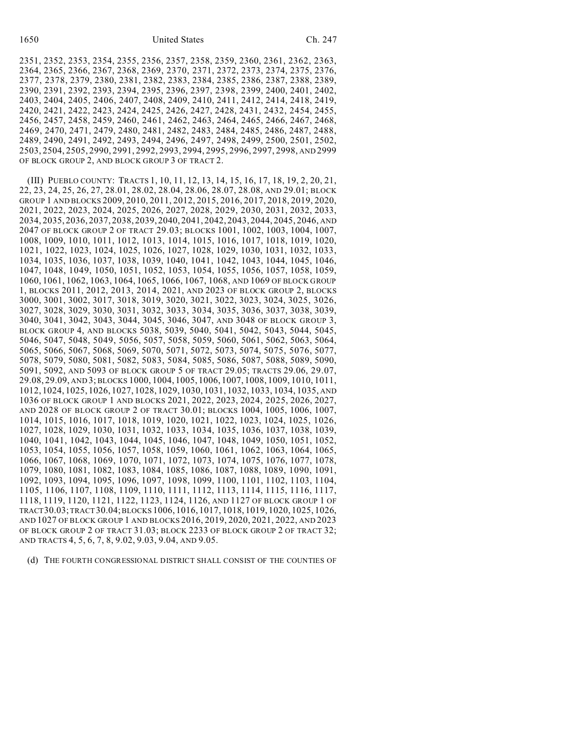2351, 2352, 2353, 2354, 2355, 2356, 2357, 2358, 2359, 2360, 2361, 2362, 2363, 2364, 2365, 2366, 2367, 2368, 2369, 2370, 2371, 2372, 2373, 2374, 2375, 2376, 2377, 2378, 2379, 2380, 2381, 2382, 2383, 2384, 2385, 2386, 2387, 2388, 2389, 2390, 2391, 2392, 2393, 2394, 2395, 2396, 2397, 2398, 2399, 2400, 2401, 2402, 2403, 2404, 2405, 2406, 2407, 2408, 2409, 2410, 2411, 2412, 2414, 2418, 2419, 2420, 2421, 2422, 2423, 2424, 2425, 2426, 2427, 2428, 2431, 2432, 2454, 2455, 2456, 2457, 2458, 2459, 2460, 2461, 2462, 2463, 2464, 2465, 2466, 2467, 2468, 2469, 2470, 2471, 2479, 2480, 2481, 2482, 2483, 2484, 2485, 2486, 2487, 2488, 2489, 2490, 2491, 2492, 2493, 2494, 2496, 2497, 2498, 2499, 2500, 2501, 2502, 2503, 2504, 2505, 2990, 2991, 2992, 2993, 2994, 2995, 2996, 2997, 2998, AND 2999 OF BLOCK GROUP 2, AND BLOCK GROUP 3 OF TRACT 2.

(III) PUEBLO COUNTY: TRACTS 1, 10, 11, 12, 13, 14, 15, 16, 17, 18, 19, 2, 20, 21, 22, 23, 24, 25, 26, 27, 28.01, 28.02, 28.04, 28.06, 28.07, 28.08, AND 29.01; BLOCK GROUP 1 AND BLOCKS 2009, 2010, 2011, 2012, 2015, 2016, 2017, 2018, 2019, 2020, 2021, 2022, 2023, 2024, 2025, 2026, 2027, 2028, 2029, 2030, 2031, 2032, 2033, 2034, 2035, 2036, 2037, 2038, 2039, 2040, 2041, 2042, 2043, 2044, 2045, 2046, AND 2047 OF BLOCK GROUP 2 OF TRACT 29.03; BLOCKS 1001, 1002, 1003, 1004, 1007, 1008, 1009, 1010, 1011, 1012, 1013, 1014, 1015, 1016, 1017, 1018, 1019, 1020, 1021, 1022, 1023, 1024, 1025, 1026, 1027, 1028, 1029, 1030, 1031, 1032, 1033, 1034, 1035, 1036, 1037, 1038, 1039, 1040, 1041, 1042, 1043, 1044, 1045, 1046, 1047, 1048, 1049, 1050, 1051, 1052, 1053, 1054, 1055, 1056, 1057, 1058, 1059, 1060, 1061, 1062, 1063, 1064, 1065, 1066, 1067, 1068, AND 1069 OF BLOCK GROUP 1, BLOCKS 2011, 2012, 2013, 2014, 2021, AND 2023 OF BLOCK GROUP 2, BLOCKS 3000, 3001, 3002, 3017, 3018, 3019, 3020, 3021, 3022, 3023, 3024, 3025, 3026, 3027, 3028, 3029, 3030, 3031, 3032, 3033, 3034, 3035, 3036, 3037, 3038, 3039, 3040, 3041, 3042, 3043, 3044, 3045, 3046, 3047, AND 3048 OF BLOCK GROUP 3, BLOCK GROUP 4, AND BLOCKS 5038, 5039, 5040, 5041, 5042, 5043, 5044, 5045, 5046, 5047, 5048, 5049, 5056, 5057, 5058, 5059, 5060, 5061, 5062, 5063, 5064, 5065, 5066, 5067, 5068, 5069, 5070, 5071, 5072, 5073, 5074, 5075, 5076, 5077, 5078, 5079, 5080, 5081, 5082, 5083, 5084, 5085, 5086, 5087, 5088, 5089, 5090, 5091, 5092, AND 5093 OF BLOCK GROUP 5 OF TRACT 29.05; TRACTS 29.06, 29.07, 29.08, 29.09, AND 3; BLOCKS 1000, 1004, 1005, 1006, 1007, 1008, 1009, 1010, 1011, 1012, 1024, 1025, 1026, 1027, 1028, 1029, 1030, 1031, 1032, 1033, 1034, 1035, AND 1036 OF BLOCK GROUP 1 AND BLOCKS 2021, 2022, 2023, 2024, 2025, 2026, 2027, AND 2028 OF BLOCK GROUP 2 OF TRACT 30.01; BLOCKS 1004, 1005, 1006, 1007, 1014, 1015, 1016, 1017, 1018, 1019, 1020, 1021, 1022, 1023, 1024, 1025, 1026, 1027, 1028, 1029, 1030, 1031, 1032, 1033, 1034, 1035, 1036, 1037, 1038, 1039, 1040, 1041, 1042, 1043, 1044, 1045, 1046, 1047, 1048, 1049, 1050, 1051, 1052, 1053, 1054, 1055, 1056, 1057, 1058, 1059, 1060, 1061, 1062, 1063, 1064, 1065, 1066, 1067, 1068, 1069, 1070, 1071, 1072, 1073, 1074, 1075, 1076, 1077, 1078, 1079, 1080, 1081, 1082, 1083, 1084, 1085, 1086, 1087, 1088, 1089, 1090, 1091, 1092, 1093, 1094, 1095, 1096, 1097, 1098, 1099, 1100, 1101, 1102, 1103, 1104, 1105, 1106, 1107, 1108, 1109, 1110, 1111, 1112, 1113, 1114, 1115, 1116, 1117, 1118, 1119, 1120, 1121, 1122, 1123, 1124, 1126, AND 1127 OF BLOCK GROUP 1 OF TRACT30.03; TRACT 30.04; BLOCKS 1006, 1016, 1017, 1018, 1019, 1020, 1025, 1026, AND 1027 OF BLOCK GROUP 1 AND BLOCKS 2016, 2019, 2020, 2021, 2022, AND 2023 OF BLOCK GROUP 2 OF TRACT 31.03; BLOCK 2233 OF BLOCK GROUP 2 OF TRACT 32; AND TRACTS 4, 5, 6, 7, 8, 9.02, 9.03, 9.04, AND 9.05.

(d) THE FOURTH CONGRESSIONAL DISTRICT SHALL CONSIST OF THE COUNTIES OF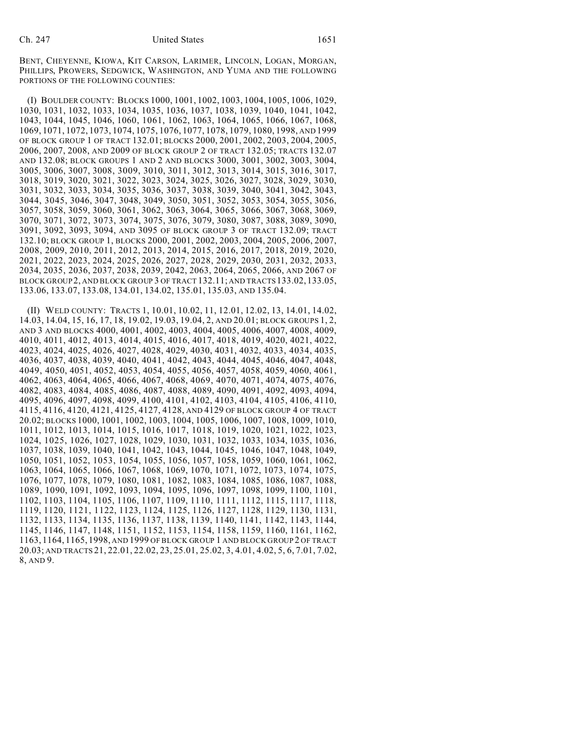BENT, CHEYENNE, KIOWA, KIT CARSON, LARIMER, LINCOLN, LOGAN, MORGAN, PHILLIPS, PROWERS, SEDGWICK, WASHINGTON, AND YUMA AND THE FOLLOWING PORTIONS OF THE FOLLOWING COUNTIES:

(I) BOULDER COUNTY: BLOCKS 1000, 1001, 1002, 1003, 1004, 1005, 1006, 1029, 1030, 1031, 1032, 1033, 1034, 1035, 1036, 1037, 1038, 1039, 1040, 1041, 1042, 1043, 1044, 1045, 1046, 1060, 1061, 1062, 1063, 1064, 1065, 1066, 1067, 1068, 1069, 1071, 1072, 1073, 1074, 1075, 1076, 1077, 1078, 1079, 1080, 1998, AND 1999 OF BLOCK GROUP 1 OF TRACT 132.01; BLOCKS 2000, 2001, 2002, 2003, 2004, 2005, 2006, 2007, 2008, AND 2009 OF BLOCK GROUP 2 OF TRACT 132.05; TRACTS 132.07 AND 132.08; BLOCK GROUPS 1 AND 2 AND BLOCKS 3000, 3001, 3002, 3003, 3004, 3005, 3006, 3007, 3008, 3009, 3010, 3011, 3012, 3013, 3014, 3015, 3016, 3017, 3018, 3019, 3020, 3021, 3022, 3023, 3024, 3025, 3026, 3027, 3028, 3029, 3030, 3031, 3032, 3033, 3034, 3035, 3036, 3037, 3038, 3039, 3040, 3041, 3042, 3043, 3044, 3045, 3046, 3047, 3048, 3049, 3050, 3051, 3052, 3053, 3054, 3055, 3056, 3057, 3058, 3059, 3060, 3061, 3062, 3063, 3064, 3065, 3066, 3067, 3068, 3069, 3070, 3071, 3072, 3073, 3074, 3075, 3076, 3079, 3080, 3087, 3088, 3089, 3090, 3091, 3092, 3093, 3094, AND 3095 OF BLOCK GROUP 3 OF TRACT 132.09; TRACT 132.10; BLOCK GROUP 1, BLOCKS 2000, 2001, 2002, 2003, 2004, 2005, 2006, 2007, 2008, 2009, 2010, 2011, 2012, 2013, 2014, 2015, 2016, 2017, 2018, 2019, 2020, 2021, 2022, 2023, 2024, 2025, 2026, 2027, 2028, 2029, 2030, 2031, 2032, 2033, 2034, 2035, 2036, 2037, 2038, 2039, 2042, 2063, 2064, 2065, 2066, AND 2067 OF BLOCK GROUP 2, AND BLOCK GROUP 3 OF TRACT 132.11; AND TRACTS133.02,133.05, 133.06, 133.07, 133.08, 134.01, 134.02, 135.01, 135.03, AND 135.04.

(II) WELD COUNTY: TRACTS 1, 10.01, 10.02, 11, 12.01, 12.02, 13, 14.01, 14.02, 14.03, 14.04, 15, 16, 17, 18, 19.02, 19.03, 19.04, 2, AND 20.01; BLOCK GROUPS 1, 2, AND 3 AND BLOCKS 4000, 4001, 4002, 4003, 4004, 4005, 4006, 4007, 4008, 4009, 4010, 4011, 4012, 4013, 4014, 4015, 4016, 4017, 4018, 4019, 4020, 4021, 4022, 4023, 4024, 4025, 4026, 4027, 4028, 4029, 4030, 4031, 4032, 4033, 4034, 4035, 4036, 4037, 4038, 4039, 4040, 4041, 4042, 4043, 4044, 4045, 4046, 4047, 4048, 4049, 4050, 4051, 4052, 4053, 4054, 4055, 4056, 4057, 4058, 4059, 4060, 4061, 4062, 4063, 4064, 4065, 4066, 4067, 4068, 4069, 4070, 4071, 4074, 4075, 4076, 4082, 4083, 4084, 4085, 4086, 4087, 4088, 4089, 4090, 4091, 4092, 4093, 4094, 4095, 4096, 4097, 4098, 4099, 4100, 4101, 4102, 4103, 4104, 4105, 4106, 4110, 4115, 4116, 4120, 4121, 4125, 4127, 4128, AND 4129 OF BLOCK GROUP 4 OF TRACT 20.02; BLOCKS 1000, 1001, 1002, 1003, 1004, 1005, 1006, 1007, 1008, 1009, 1010, 1011, 1012, 1013, 1014, 1015, 1016, 1017, 1018, 1019, 1020, 1021, 1022, 1023, 1024, 1025, 1026, 1027, 1028, 1029, 1030, 1031, 1032, 1033, 1034, 1035, 1036, 1037, 1038, 1039, 1040, 1041, 1042, 1043, 1044, 1045, 1046, 1047, 1048, 1049, 1050, 1051, 1052, 1053, 1054, 1055, 1056, 1057, 1058, 1059, 1060, 1061, 1062, 1063, 1064, 1065, 1066, 1067, 1068, 1069, 1070, 1071, 1072, 1073, 1074, 1075, 1076, 1077, 1078, 1079, 1080, 1081, 1082, 1083, 1084, 1085, 1086, 1087, 1088, 1089, 1090, 1091, 1092, 1093, 1094, 1095, 1096, 1097, 1098, 1099, 1100, 1101, 1102, 1103, 1104, 1105, 1106, 1107, 1109, 1110, 1111, 1112, 1115, 1117, 1118, 1119, 1120, 1121, 1122, 1123, 1124, 1125, 1126, 1127, 1128, 1129, 1130, 1131, 1132, 1133, 1134, 1135, 1136, 1137, 1138, 1139, 1140, 1141, 1142, 1143, 1144, 1145, 1146, 1147, 1148, 1151, 1152, 1153, 1154, 1158, 1159, 1160, 1161, 1162, 1163, 1164, 1165, 1998, AND 1999 OF BLOCK GROUP 1 AND BLOCK GROUP 2 OF TRACT 20.03; AND TRACTS 21, 22.01, 22.02, 23, 25.01, 25.02, 3, 4.01, 4.02, 5, 6, 7.01, 7.02, 8, AND 9.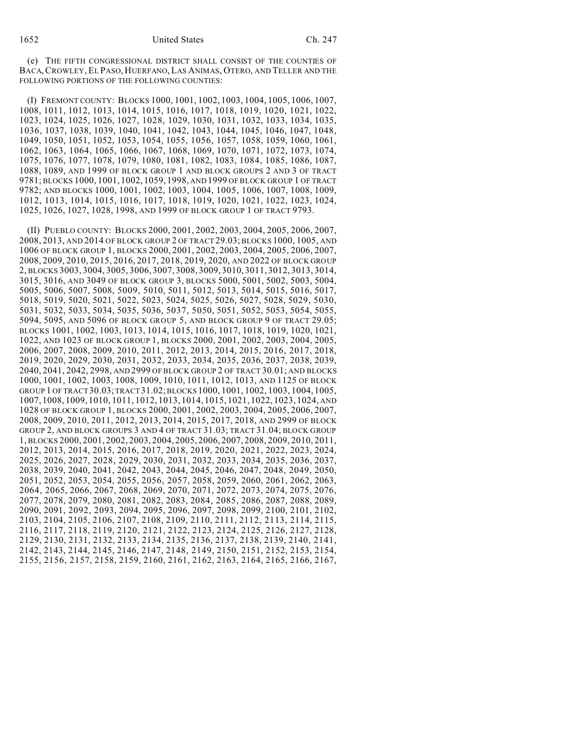(e) THE FIFTH CONGRESSIONAL DISTRICT SHALL CONSIST OF THE COUNTIES OF BACA,CROWLEY, EL PASO, HUERFANO, LAS ANIMAS, OTERO, AND TELLER AND THE FOLLOWING PORTIONS OF THE FOLLOWING COUNTIES:

(I) FREMONT COUNTY: BLOCKS 1000, 1001, 1002, 1003, 1004, 1005, 1006, 1007, 1008, 1011, 1012, 1013, 1014, 1015, 1016, 1017, 1018, 1019, 1020, 1021, 1022, 1023, 1024, 1025, 1026, 1027, 1028, 1029, 1030, 1031, 1032, 1033, 1034, 1035, 1036, 1037, 1038, 1039, 1040, 1041, 1042, 1043, 1044, 1045, 1046, 1047, 1048, 1049, 1050, 1051, 1052, 1053, 1054, 1055, 1056, 1057, 1058, 1059, 1060, 1061, 1062, 1063, 1064, 1065, 1066, 1067, 1068, 1069, 1070, 1071, 1072, 1073, 1074, 1075, 1076, 1077, 1078, 1079, 1080, 1081, 1082, 1083, 1084, 1085, 1086, 1087, 1088, 1089, AND 1999 OF BLOCK GROUP 1 AND BLOCK GROUPS 2 AND 3 OF TRACT 9781; BLOCKS 1000, 1001, 1002, 1059, 1998, AND 1999 OF BLOCK GROUP 1 OF TRACT 9782; AND BLOCKS 1000, 1001, 1002, 1003, 1004, 1005, 1006, 1007, 1008, 1009, 1012, 1013, 1014, 1015, 1016, 1017, 1018, 1019, 1020, 1021, 1022, 1023, 1024, 1025, 1026, 1027, 1028, 1998, AND 1999 OF BLOCK GROUP 1 OF TRACT 9793.

(II) PUEBLO COUNTY: BLOCKS 2000, 2001, 2002, 2003, 2004, 2005, 2006, 2007, 2008, 2013, AND 2014 OF BLOCK GROUP 2 OF TRACT 29.03; BLOCKS 1000, 1005, AND 1006 OF BLOCK GROUP 1, BLOCKS 2000, 2001, 2002, 2003, 2004, 2005, 2006, 2007, 2008, 2009, 2010, 2015, 2016, 2017, 2018, 2019, 2020, AND 2022 OF BLOCK GROUP 2, BLOCKS 3003, 3004, 3005, 3006, 3007, 3008, 3009, 3010, 3011, 3012, 3013, 3014, 3015, 3016, AND 3049 OF BLOCK GROUP 3, BLOCKS 5000, 5001, 5002, 5003, 5004, 5005, 5006, 5007, 5008, 5009, 5010, 5011, 5012, 5013, 5014, 5015, 5016, 5017, 5018, 5019, 5020, 5021, 5022, 5023, 5024, 5025, 5026, 5027, 5028, 5029, 5030, 5031, 5032, 5033, 5034, 5035, 5036, 5037, 5050, 5051, 5052, 5053, 5054, 5055, 5094, 5095, AND 5096 OF BLOCK GROUP 5, AND BLOCK GROUP 9 OF TRACT 29.05; BLOCKS 1001, 1002, 1003, 1013, 1014, 1015, 1016, 1017, 1018, 1019, 1020, 1021, 1022, AND 1023 OF BLOCK GROUP 1, BLOCKS 2000, 2001, 2002, 2003, 2004, 2005, 2006, 2007, 2008, 2009, 2010, 2011, 2012, 2013, 2014, 2015, 2016, 2017, 2018, 2019, 2020, 2029, 2030, 2031, 2032, 2033, 2034, 2035, 2036, 2037, 2038, 2039, 2040, 2041, 2042, 2998, AND 2999 OF BLOCK GROUP 2 OF TRACT 30.01; AND BLOCKS 1000, 1001, 1002, 1003, 1008, 1009, 1010, 1011, 1012, 1013, AND 1125 OF BLOCK GROUP 1 OF TRACT 30.03; TRACT 31.02; BLOCKS 1000, 1001, 1002, 1003, 1004, 1005, 1007, 1008, 1009, 1010, 1011, 1012, 1013, 1014, 1015, 1021, 1022, 1023, 1024, AND 1028 OF BLOCK GROUP 1, BLOCKS 2000, 2001, 2002, 2003, 2004, 2005, 2006, 2007, 2008, 2009, 2010, 2011, 2012, 2013, 2014, 2015, 2017, 2018, AND 2999 OF BLOCK GROUP 2, AND BLOCK GROUPS 3 AND 4 OF TRACT 31.03; TRACT 31.04; BLOCK GROUP 1, BLOCKS 2000, 2001, 2002, 2003, 2004, 2005, 2006, 2007, 2008, 2009, 2010, 2011, 2012, 2013, 2014, 2015, 2016, 2017, 2018, 2019, 2020, 2021, 2022, 2023, 2024, 2025, 2026, 2027, 2028, 2029, 2030, 2031, 2032, 2033, 2034, 2035, 2036, 2037, 2038, 2039, 2040, 2041, 2042, 2043, 2044, 2045, 2046, 2047, 2048, 2049, 2050, 2051, 2052, 2053, 2054, 2055, 2056, 2057, 2058, 2059, 2060, 2061, 2062, 2063, 2064, 2065, 2066, 2067, 2068, 2069, 2070, 2071, 2072, 2073, 2074, 2075, 2076, 2077, 2078, 2079, 2080, 2081, 2082, 2083, 2084, 2085, 2086, 2087, 2088, 2089, 2090, 2091, 2092, 2093, 2094, 2095, 2096, 2097, 2098, 2099, 2100, 2101, 2102, 2103, 2104, 2105, 2106, 2107, 2108, 2109, 2110, 2111, 2112, 2113, 2114, 2115, 2116, 2117, 2118, 2119, 2120, 2121, 2122, 2123, 2124, 2125, 2126, 2127, 2128, 2129, 2130, 2131, 2132, 2133, 2134, 2135, 2136, 2137, 2138, 2139, 2140, 2141, 2142, 2143, 2144, 2145, 2146, 2147, 2148, 2149, 2150, 2151, 2152, 2153, 2154, 2155, 2156, 2157, 2158, 2159, 2160, 2161, 2162, 2163, 2164, 2165, 2166, 2167,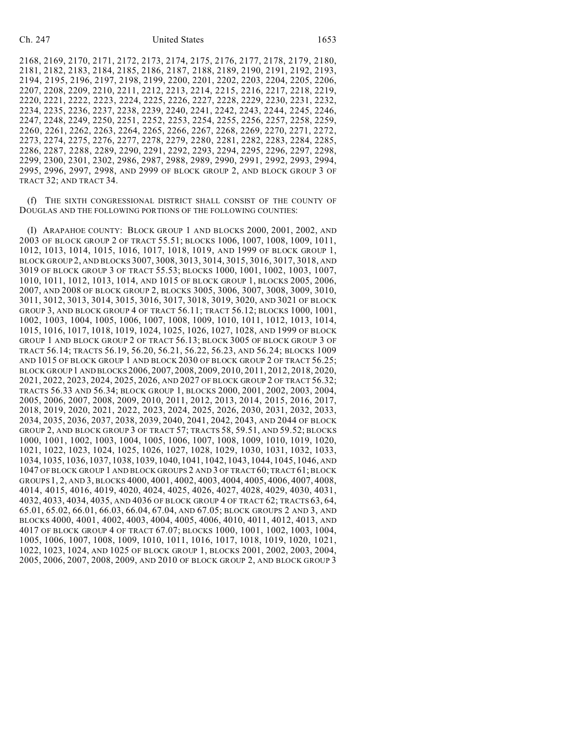2168, 2169, 2170, 2171, 2172, 2173, 2174, 2175, 2176, 2177, 2178, 2179, 2180, 2181, 2182, 2183, 2184, 2185, 2186, 2187, 2188, 2189, 2190, 2191, 2192, 2193, 2194, 2195, 2196, 2197, 2198, 2199, 2200, 2201, 2202, 2203, 2204, 2205, 2206, 2207, 2208, 2209, 2210, 2211, 2212, 2213, 2214, 2215, 2216, 2217, 2218, 2219, 2220, 2221, 2222, 2223, 2224, 2225, 2226, 2227, 2228, 2229, 2230, 2231, 2232, 2234, 2235, 2236, 2237, 2238, 2239, 2240, 2241, 2242, 2243, 2244, 2245, 2246, 2247, 2248, 2249, 2250, 2251, 2252, 2253, 2254, 2255, 2256, 2257, 2258, 2259, 2260, 2261, 2262, 2263, 2264, 2265, 2266, 2267, 2268, 2269, 2270, 2271, 2272, 2273, 2274, 2275, 2276, 2277, 2278, 2279, 2280, 2281, 2282, 2283, 2284, 2285, 2286, 2287, 2288, 2289, 2290, 2291, 2292, 2293, 2294, 2295, 2296, 2297, 2298, 2299, 2300, 2301, 2302, 2986, 2987, 2988, 2989, 2990, 2991, 2992, 2993, 2994, 2995, 2996, 2997, 2998, AND 2999 OF BLOCK GROUP 2, AND BLOCK GROUP 3 OF TRACT 32; AND TRACT 34.

(f) THE SIXTH CONGRESSIONAL DISTRICT SHALL CONSIST OF THE COUNTY OF DOUGLAS AND THE FOLLOWING PORTIONS OF THE FOLLOWING COUNTIES:

(I) ARAPAHOE COUNTY: BLOCK GROUP 1 AND BLOCKS 2000, 2001, 2002, AND 2003 OF BLOCK GROUP 2 OF TRACT 55.51; BLOCKS 1006, 1007, 1008, 1009, 1011, 1012, 1013, 1014, 1015, 1016, 1017, 1018, 1019, AND 1999 OF BLOCK GROUP 1, BLOCK GROUP 2, AND BLOCKS 3007, 3008, 3013, 3014, 3015, 3016, 3017, 3018, AND 3019 OF BLOCK GROUP 3 OF TRACT 55.53; BLOCKS 1000, 1001, 1002, 1003, 1007, 1010, 1011, 1012, 1013, 1014, AND 1015 OF BLOCK GROUP 1, BLOCKS 2005, 2006, 2007, AND 2008 OF BLOCK GROUP 2, BLOCKS 3005, 3006, 3007, 3008, 3009, 3010, 3011, 3012, 3013, 3014, 3015, 3016, 3017, 3018, 3019, 3020, AND 3021 OF BLOCK GROUP 3, AND BLOCK GROUP 4 OF TRACT 56.11; TRACT 56.12; BLOCKS 1000, 1001, 1002, 1003, 1004, 1005, 1006, 1007, 1008, 1009, 1010, 1011, 1012, 1013, 1014, 1015, 1016, 1017, 1018, 1019, 1024, 1025, 1026, 1027, 1028, AND 1999 OF BLOCK GROUP 1 AND BLOCK GROUP 2 OF TRACT 56.13; BLOCK 3005 OF BLOCK GROUP 3 OF TRACT 56.14; TRACTS 56.19, 56.20, 56.21, 56.22, 56.23, AND 56.24; BLOCKS 1009 AND 1015 OF BLOCK GROUP 1 AND BLOCK 2030 OF BLOCK GROUP 2 OF TRACT 56.25; BLOCK GROUP 1 AND BLOCKS 2006, 2007, 2008, 2009, 2010, 2011, 2012, 2018, 2020, 2021, 2022, 2023, 2024, 2025, 2026, AND 2027 OF BLOCK GROUP 2 OF TRACT 56.32; TRACTS 56.33 AND 56.34; BLOCK GROUP 1, BLOCKS 2000, 2001, 2002, 2003, 2004, 2005, 2006, 2007, 2008, 2009, 2010, 2011, 2012, 2013, 2014, 2015, 2016, 2017, 2018, 2019, 2020, 2021, 2022, 2023, 2024, 2025, 2026, 2030, 2031, 2032, 2033, 2034, 2035, 2036, 2037, 2038, 2039, 2040, 2041, 2042, 2043, AND 2044 OF BLOCK GROUP 2, AND BLOCK GROUP 3 OF TRACT 57; TRACTS 58, 59.51, AND 59.52; BLOCKS 1000, 1001, 1002, 1003, 1004, 1005, 1006, 1007, 1008, 1009, 1010, 1019, 1020, 1021, 1022, 1023, 1024, 1025, 1026, 1027, 1028, 1029, 1030, 1031, 1032, 1033, 1034, 1035, 1036, 1037, 1038, 1039, 1040, 1041, 1042, 1043, 1044, 1045, 1046, AND 1047 OF BLOCK GROUP 1 AND BLOCK GROUPS 2 AND 3 OF TRACT 60; TRACT 61; BLOCK GROUPS1, 2, AND 3, BLOCKS 4000, 4001, 4002, 4003, 4004, 4005, 4006, 4007, 4008, 4014, 4015, 4016, 4019, 4020, 4024, 4025, 4026, 4027, 4028, 4029, 4030, 4031, 4032, 4033, 4034, 4035, AND 4036 OF BLOCK GROUP 4 OF TRACT 62; TRACTS 63, 64, 65.01, 65.02, 66.01, 66.03, 66.04, 67.04, AND 67.05; BLOCK GROUPS 2 AND 3, AND BLOCKS 4000, 4001, 4002, 4003, 4004, 4005, 4006, 4010, 4011, 4012, 4013, AND 4017 OF BLOCK GROUP 4 OF TRACT 67.07; BLOCKS 1000, 1001, 1002, 1003, 1004, 1005, 1006, 1007, 1008, 1009, 1010, 1011, 1016, 1017, 1018, 1019, 1020, 1021, 1022, 1023, 1024, AND 1025 OF BLOCK GROUP 1, BLOCKS 2001, 2002, 2003, 2004, 2005, 2006, 2007, 2008, 2009, AND 2010 OF BLOCK GROUP 2, AND BLOCK GROUP 3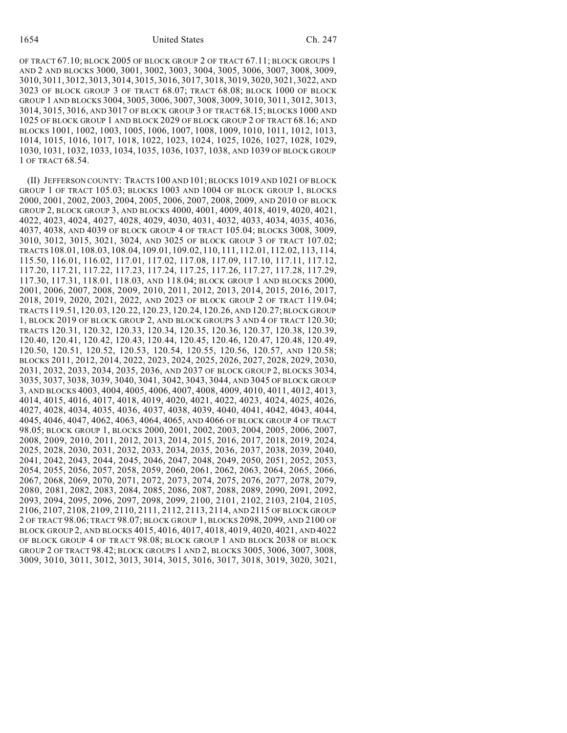OF TRACT 67.10; BLOCK 2005 OF BLOCK GROUP 2 OF TRACT 67.11; BLOCK GROUPS 1 AND 2 AND BLOCKS 3000, 3001, 3002, 3003, 3004, 3005, 3006, 3007, 3008, 3009, 3010, 3011, 3012, 3013, 3014, 3015, 3016, 3017, 3018, 3019, 3020, 3021, 3022, AND 3023 OF BLOCK GROUP 3 OF TRACT 68.07; TRACT 68.08; BLOCK 1000 OF BLOCK GROUP 1 AND BLOCKS 3004, 3005, 3006, 3007, 3008, 3009, 3010, 3011, 3012, 3013, 3014, 3015, 3016, AND 3017 OF BLOCK GROUP 3 OF TRACT 68.15; BLOCKS 1000 AND 1025 OF BLOCK GROUP 1 AND BLOCK 2029 OF BLOCK GROUP 2 OF TRACT 68.16; AND BLOCKS 1001, 1002, 1003, 1005, 1006, 1007, 1008, 1009, 1010, 1011, 1012, 1013, 1014, 1015, 1016, 1017, 1018, 1022, 1023, 1024, 1025, 1026, 1027, 1028, 1029, 1030, 1031, 1032, 1033, 1034, 1035, 1036, 1037, 1038, AND 1039 OF BLOCK GROUP 1 OF TRACT 68.54.

(II) JEFFERSON COUNTY: TRACTS 100 AND 101; BLOCKS 1019 AND 1021 OF BLOCK GROUP 1 OF TRACT 105.03; BLOCKS 1003 AND 1004 OF BLOCK GROUP 1, BLOCKS 2000, 2001, 2002, 2003, 2004, 2005, 2006, 2007, 2008, 2009, AND 2010 OF BLOCK GROUP 2, BLOCK GROUP 3, AND BLOCKS 4000, 4001, 4009, 4018, 4019, 4020, 4021, 4022, 4023, 4024, 4027, 4028, 4029, 4030, 4031, 4032, 4033, 4034, 4035, 4036, 4037, 4038, AND 4039 OF BLOCK GROUP 4 OF TRACT 105.04; BLOCKS 3008, 3009, 3010, 3012, 3015, 3021, 3024, AND 3025 OF BLOCK GROUP 3 OF TRACT 107.02; TRACTS 108.01, 108.03, 108.04, 109.01, 109.02, 110, 111, 112.01, 112.02, 113, 114, 115.50, 116.01, 116.02, 117.01, 117.02, 117.08, 117.09, 117.10, 117.11, 117.12, 117.20, 117.21, 117.22, 117.23, 117.24, 117.25, 117.26, 117.27, 117.28, 117.29, 117.30, 117.31, 118.01, 118.03, AND 118.04; BLOCK GROUP 1 AND BLOCKS 2000, 2001, 2006, 2007, 2008, 2009, 2010, 2011, 2012, 2013, 2014, 2015, 2016, 2017, 2018, 2019, 2020, 2021, 2022, AND 2023 OF BLOCK GROUP 2 OF TRACT 119.04; TRACTS 119.51, 120.03, 120.22, 120.23, 120.24, 120.26, AND 120.27; BLOCK GROUP 1, BLOCK 2019 OF BLOCK GROUP 2, AND BLOCK GROUPS 3 AND 4 OF TRACT 120.30; TRACTS 120.31, 120.32, 120.33, 120.34, 120.35, 120.36, 120.37, 120.38, 120.39, 120.40, 120.41, 120.42, 120.43, 120.44, 120.45, 120.46, 120.47, 120.48, 120.49, 120.50, 120.51, 120.52, 120.53, 120.54, 120.55, 120.56, 120.57, AND 120.58; BLOCKS 2011, 2012, 2014, 2022, 2023, 2024, 2025, 2026, 2027, 2028, 2029, 2030, 2031, 2032, 2033, 2034, 2035, 2036, AND 2037 OF BLOCK GROUP 2, BLOCKS 3034, 3035, 3037, 3038, 3039, 3040, 3041, 3042, 3043, 3044, AND 3045 OF BLOCK GROUP 3, AND BLOCKS 4003, 4004, 4005, 4006, 4007, 4008, 4009, 4010, 4011, 4012, 4013, 4014, 4015, 4016, 4017, 4018, 4019, 4020, 4021, 4022, 4023, 4024, 4025, 4026, 4027, 4028, 4034, 4035, 4036, 4037, 4038, 4039, 4040, 4041, 4042, 4043, 4044, 4045, 4046, 4047, 4062, 4063, 4064, 4065, AND 4066 OF BLOCK GROUP 4 OF TRACT 98.05; BLOCK GROUP 1, BLOCKS 2000, 2001, 2002, 2003, 2004, 2005, 2006, 2007, 2008, 2009, 2010, 2011, 2012, 2013, 2014, 2015, 2016, 2017, 2018, 2019, 2024, 2025, 2028, 2030, 2031, 2032, 2033, 2034, 2035, 2036, 2037, 2038, 2039, 2040, 2041, 2042, 2043, 2044, 2045, 2046, 2047, 2048, 2049, 2050, 2051, 2052, 2053, 2054, 2055, 2056, 2057, 2058, 2059, 2060, 2061, 2062, 2063, 2064, 2065, 2066, 2067, 2068, 2069, 2070, 2071, 2072, 2073, 2074, 2075, 2076, 2077, 2078, 2079, 2080, 2081, 2082, 2083, 2084, 2085, 2086, 2087, 2088, 2089, 2090, 2091, 2092, 2093, 2094, 2095, 2096, 2097, 2098, 2099, 2100, 2101, 2102, 2103, 2104, 2105, 2106, 2107, 2108, 2109, 2110, 2111, 2112, 2113, 2114, AND 2115 OF BLOCK GROUP 2 OF TRACT 98.06; TRACT 98.07; BLOCK GROUP 1, BLOCKS 2098, 2099, AND 2100 OF BLOCK GROUP 2, AND BLOCKS 4015, 4016, 4017, 4018, 4019, 4020, 4021, AND 4022 OF BLOCK GROUP 4 OF TRACT 98.08; BLOCK GROUP 1 AND BLOCK 2038 OF BLOCK GROUP 2 OF TRACT 98.42; BLOCK GROUPS 1 AND 2, BLOCKS 3005, 3006, 3007, 3008, 3009, 3010, 3011, 3012, 3013, 3014, 3015, 3016, 3017, 3018, 3019, 3020, 3021,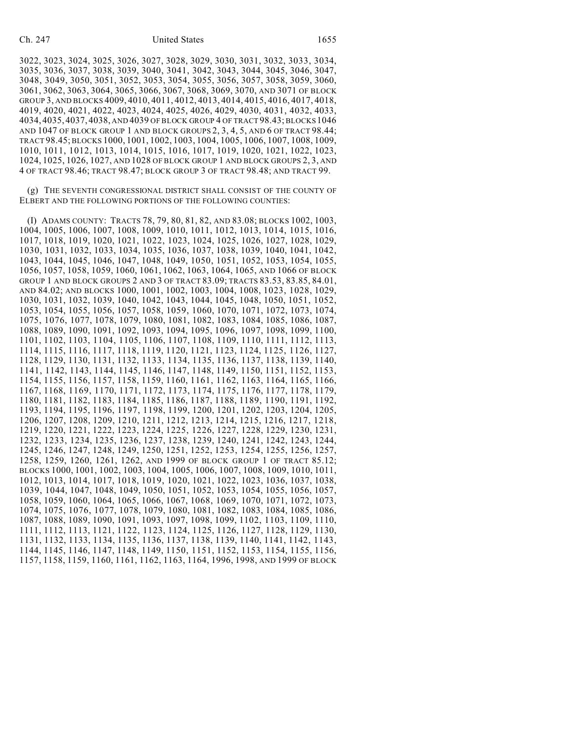## Ch. 247 United States 1655

3022, 3023, 3024, 3025, 3026, 3027, 3028, 3029, 3030, 3031, 3032, 3033, 3034, 3035, 3036, 3037, 3038, 3039, 3040, 3041, 3042, 3043, 3044, 3045, 3046, 3047, 3048, 3049, 3050, 3051, 3052, 3053, 3054, 3055, 3056, 3057, 3058, 3059, 3060, 3061, 3062, 3063, 3064, 3065, 3066, 3067, 3068, 3069, 3070, AND 3071 OF BLOCK GROUP 3, AND BLOCKS 4009, 4010, 4011, 4012, 4013, 4014, 4015, 4016, 4017, 4018, 4019, 4020, 4021, 4022, 4023, 4024, 4025, 4026, 4029, 4030, 4031, 4032, 4033, 4034, 4035, 4037, 4038, AND 4039 OF BLOCK GROUP 4 OF TRACT 98.43; BLOCKS 1046 AND 1047 OF BLOCK GROUP 1 AND BLOCK GROUPS 2, 3, 4, 5, AND 6 OF TRACT 98.44; TRACT 98.45; BLOCKS 1000, 1001, 1002, 1003, 1004, 1005, 1006, 1007, 1008, 1009, 1010, 1011, 1012, 1013, 1014, 1015, 1016, 1017, 1019, 1020, 1021, 1022, 1023, 1024, 1025, 1026, 1027, AND 1028 OF BLOCK GROUP 1 AND BLOCK GROUPS 2, 3, AND 4 OF TRACT 98.46; TRACT 98.47; BLOCK GROUP 3 OF TRACT 98.48; AND TRACT 99.

(g) THE SEVENTH CONGRESSIONAL DISTRICT SHALL CONSIST OF THE COUNTY OF ELBERT AND THE FOLLOWING PORTIONS OF THE FOLLOWING COUNTIES:

(I) ADAMS COUNTY: TRACTS 78, 79, 80, 81, 82, AND 83.08; BLOCKS 1002, 1003, 1004, 1005, 1006, 1007, 1008, 1009, 1010, 1011, 1012, 1013, 1014, 1015, 1016, 1017, 1018, 1019, 1020, 1021, 1022, 1023, 1024, 1025, 1026, 1027, 1028, 1029, 1030, 1031, 1032, 1033, 1034, 1035, 1036, 1037, 1038, 1039, 1040, 1041, 1042, 1043, 1044, 1045, 1046, 1047, 1048, 1049, 1050, 1051, 1052, 1053, 1054, 1055, 1056, 1057, 1058, 1059, 1060, 1061, 1062, 1063, 1064, 1065, AND 1066 OF BLOCK GROUP 1 AND BLOCK GROUPS 2 AND 3 OF TRACT 83.09; TRACTS 83.53, 83.85, 84.01, AND 84.02; AND BLOCKS 1000, 1001, 1002, 1003, 1004, 1008, 1023, 1028, 1029, 1030, 1031, 1032, 1039, 1040, 1042, 1043, 1044, 1045, 1048, 1050, 1051, 1052, 1053, 1054, 1055, 1056, 1057, 1058, 1059, 1060, 1070, 1071, 1072, 1073, 1074, 1075, 1076, 1077, 1078, 1079, 1080, 1081, 1082, 1083, 1084, 1085, 1086, 1087, 1088, 1089, 1090, 1091, 1092, 1093, 1094, 1095, 1096, 1097, 1098, 1099, 1100, 1101, 1102, 1103, 1104, 1105, 1106, 1107, 1108, 1109, 1110, 1111, 1112, 1113, 1114, 1115, 1116, 1117, 1118, 1119, 1120, 1121, 1123, 1124, 1125, 1126, 1127, 1128, 1129, 1130, 1131, 1132, 1133, 1134, 1135, 1136, 1137, 1138, 1139, 1140, 1141, 1142, 1143, 1144, 1145, 1146, 1147, 1148, 1149, 1150, 1151, 1152, 1153, 1154, 1155, 1156, 1157, 1158, 1159, 1160, 1161, 1162, 1163, 1164, 1165, 1166, 1167, 1168, 1169, 1170, 1171, 1172, 1173, 1174, 1175, 1176, 1177, 1178, 1179, 1180, 1181, 1182, 1183, 1184, 1185, 1186, 1187, 1188, 1189, 1190, 1191, 1192, 1193, 1194, 1195, 1196, 1197, 1198, 1199, 1200, 1201, 1202, 1203, 1204, 1205, 1206, 1207, 1208, 1209, 1210, 1211, 1212, 1213, 1214, 1215, 1216, 1217, 1218, 1219, 1220, 1221, 1222, 1223, 1224, 1225, 1226, 1227, 1228, 1229, 1230, 1231, 1232, 1233, 1234, 1235, 1236, 1237, 1238, 1239, 1240, 1241, 1242, 1243, 1244, 1245, 1246, 1247, 1248, 1249, 1250, 1251, 1252, 1253, 1254, 1255, 1256, 1257, 1258, 1259, 1260, 1261, 1262, AND 1999 OF BLOCK GROUP 1 OF TRACT 85.12; BLOCKS 1000, 1001, 1002, 1003, 1004, 1005, 1006, 1007, 1008, 1009, 1010, 1011, 1012, 1013, 1014, 1017, 1018, 1019, 1020, 1021, 1022, 1023, 1036, 1037, 1038, 1039, 1044, 1047, 1048, 1049, 1050, 1051, 1052, 1053, 1054, 1055, 1056, 1057, 1058, 1059, 1060, 1064, 1065, 1066, 1067, 1068, 1069, 1070, 1071, 1072, 1073, 1074, 1075, 1076, 1077, 1078, 1079, 1080, 1081, 1082, 1083, 1084, 1085, 1086, 1087, 1088, 1089, 1090, 1091, 1093, 1097, 1098, 1099, 1102, 1103, 1109, 1110, 1111, 1112, 1113, 1121, 1122, 1123, 1124, 1125, 1126, 1127, 1128, 1129, 1130, 1131, 1132, 1133, 1134, 1135, 1136, 1137, 1138, 1139, 1140, 1141, 1142, 1143, 1144, 1145, 1146, 1147, 1148, 1149, 1150, 1151, 1152, 1153, 1154, 1155, 1156, 1157, 1158, 1159, 1160, 1161, 1162, 1163, 1164, 1996, 1998, AND 1999 OF BLOCK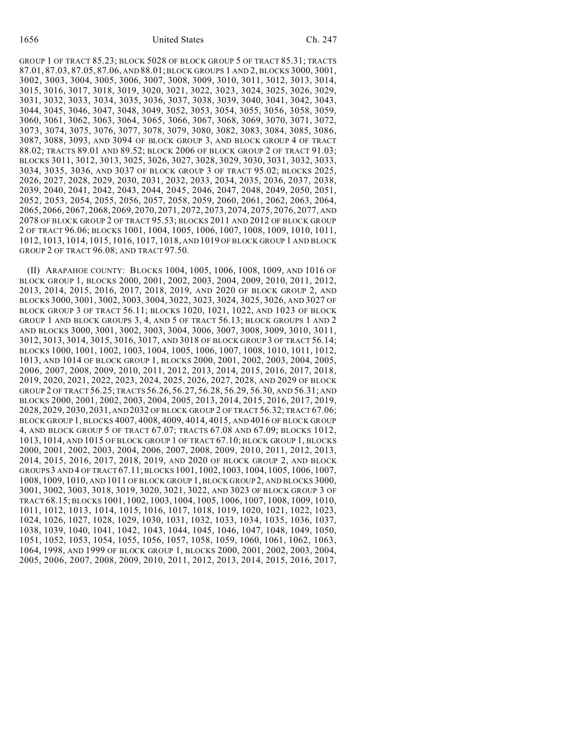GROUP 1 OF TRACT 85.23; BLOCK 5028 OF BLOCK GROUP 5 OF TRACT 85.31; TRACTS 87.01, 87.03, 87.05, 87.06, AND 88.01; BLOCK GROUPS 1 AND 2, BLOCKS 3000, 3001, 3002, 3003, 3004, 3005, 3006, 3007, 3008, 3009, 3010, 3011, 3012, 3013, 3014, 3015, 3016, 3017, 3018, 3019, 3020, 3021, 3022, 3023, 3024, 3025, 3026, 3029, 3031, 3032, 3033, 3034, 3035, 3036, 3037, 3038, 3039, 3040, 3041, 3042, 3043, 3044, 3045, 3046, 3047, 3048, 3049, 3052, 3053, 3054, 3055, 3056, 3058, 3059, 3060, 3061, 3062, 3063, 3064, 3065, 3066, 3067, 3068, 3069, 3070, 3071, 3072, 3073, 3074, 3075, 3076, 3077, 3078, 3079, 3080, 3082, 3083, 3084, 3085, 3086, 3087, 3088, 3093, AND 3094 OF BLOCK GROUP 3, AND BLOCK GROUP 4 OF TRACT 88.02; TRACTS 89.01 AND 89.52; BLOCK 2006 OF BLOCK GROUP 2 OF TRACT 91.03; BLOCKS 3011, 3012, 3013, 3025, 3026, 3027, 3028, 3029, 3030, 3031, 3032, 3033, 3034, 3035, 3036, AND 3037 OF BLOCK GROUP 3 OF TRACT 95.02; BLOCKS 2025, 2026, 2027, 2028, 2029, 2030, 2031, 2032, 2033, 2034, 2035, 2036, 2037, 2038, 2039, 2040, 2041, 2042, 2043, 2044, 2045, 2046, 2047, 2048, 2049, 2050, 2051, 2052, 2053, 2054, 2055, 2056, 2057, 2058, 2059, 2060, 2061, 2062, 2063, 2064, 2065, 2066, 2067, 2068, 2069, 2070, 2071, 2072, 2073, 2074, 2075, 2076, 2077, AND 2078 OF BLOCK GROUP 2 OF TRACT 95.53; BLOCKS 2011 AND 2012 OF BLOCK GROUP 2 OF TRACT 96.06; BLOCKS 1001, 1004, 1005, 1006, 1007, 1008, 1009, 1010, 1011, 1012, 1013, 1014, 1015, 1016, 1017, 1018, AND 1019 OF BLOCK GROUP 1 AND BLOCK GROUP 2 OF TRACT 96.08; AND TRACT 97.50.

(II) ARAPAHOE COUNTY: BLOCKS 1004, 1005, 1006, 1008, 1009, AND 1016 OF BLOCK GROUP 1, BLOCKS 2000, 2001, 2002, 2003, 2004, 2009, 2010, 2011, 2012, 2013, 2014, 2015, 2016, 2017, 2018, 2019, AND 2020 OF BLOCK GROUP 2, AND BLOCKS 3000, 3001, 3002, 3003, 3004, 3022, 3023, 3024, 3025, 3026, AND 3027 OF BLOCK GROUP 3 OF TRACT 56.11; BLOCKS 1020, 1021, 1022, AND 1023 OF BLOCK GROUP 1 AND BLOCK GROUPS 3, 4, AND 5 OF TRACT 56.13; BLOCK GROUPS 1 AND 2 AND BLOCKS 3000, 3001, 3002, 3003, 3004, 3006, 3007, 3008, 3009, 3010, 3011, 3012, 3013, 3014, 3015, 3016, 3017, AND 3018 OF BLOCK GROUP 3 OF TRACT 56.14; BLOCKS 1000, 1001, 1002, 1003, 1004, 1005, 1006, 1007, 1008, 1010, 1011, 1012, 1013, AND 1014 OF BLOCK GROUP 1, BLOCKS 2000, 2001, 2002, 2003, 2004, 2005, 2006, 2007, 2008, 2009, 2010, 2011, 2012, 2013, 2014, 2015, 2016, 2017, 2018, 2019, 2020, 2021, 2022, 2023, 2024, 2025, 2026, 2027, 2028, AND 2029 OF BLOCK GROUP 2 OF TRACT 56.25; TRACTS 56.26, 56.27, 56.28, 56.29, 56.30, AND 56.31; AND BLOCKS 2000, 2001, 2002, 2003, 2004, 2005, 2013, 2014, 2015, 2016, 2017, 2019, 2028, 2029, 2030, 2031, AND 2032 OF BLOCK GROUP 2 OF TRACT 56.32; TRACT 67.06; BLOCK GROUP 1, BLOCKS 4007, 4008, 4009, 4014, 4015, AND 4016 OF BLOCK GROUP 4, AND BLOCK GROUP 5 OF TRACT 67.07; TRACTS 67.08 AND 67.09; BLOCKS 1012, 1013, 1014, AND 1015 OF BLOCK GROUP 1 OF TRACT 67.10; BLOCK GROUP 1, BLOCKS 2000, 2001, 2002, 2003, 2004, 2006, 2007, 2008, 2009, 2010, 2011, 2012, 2013, 2014, 2015, 2016, 2017, 2018, 2019, AND 2020 OF BLOCK GROUP 2, AND BLOCK GROUPS3 AND 4 OF TRACT 67.11; BLOCKS 1001, 1002, 1003, 1004, 1005, 1006, 1007, 1008, 1009, 1010, AND 1011 OF BLOCK GROUP 1, BLOCK GROUP 2, AND BLOCKS 3000, 3001, 3002, 3003, 3018, 3019, 3020, 3021, 3022, AND 3023 OF BLOCK GROUP 3 OF TRACT 68.15; BLOCKS 1001, 1002, 1003, 1004, 1005, 1006, 1007, 1008, 1009, 1010, 1011, 1012, 1013, 1014, 1015, 1016, 1017, 1018, 1019, 1020, 1021, 1022, 1023, 1024, 1026, 1027, 1028, 1029, 1030, 1031, 1032, 1033, 1034, 1035, 1036, 1037, 1038, 1039, 1040, 1041, 1042, 1043, 1044, 1045, 1046, 1047, 1048, 1049, 1050, 1051, 1052, 1053, 1054, 1055, 1056, 1057, 1058, 1059, 1060, 1061, 1062, 1063, 1064, 1998, AND 1999 OF BLOCK GROUP 1, BLOCKS 2000, 2001, 2002, 2003, 2004, 2005, 2006, 2007, 2008, 2009, 2010, 2011, 2012, 2013, 2014, 2015, 2016, 2017,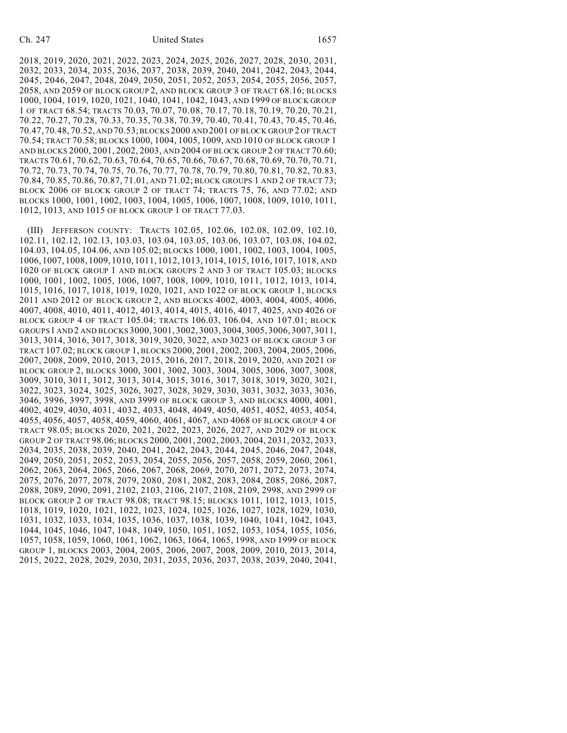### Ch. 247 United States 1657

2018, 2019, 2020, 2021, 2022, 2023, 2024, 2025, 2026, 2027, 2028, 2030, 2031, 2032, 2033, 2034, 2035, 2036, 2037, 2038, 2039, 2040, 2041, 2042, 2043, 2044, 2045, 2046, 2047, 2048, 2049, 2050, 2051, 2052, 2053, 2054, 2055, 2056, 2057, 2058, AND 2059 OF BLOCK GROUP 2, AND BLOCK GROUP 3 OF TRACT 68.16; BLOCKS 1000, 1004, 1019, 1020, 1021, 1040, 1041, 1042, 1043, AND 1999 OF BLOCK GROUP 1 OF TRACT 68.54; TRACTS 70.03, 70.07, 70.08, 70.17, 70.18, 70.19, 70.20, 70.21, 70.22, 70.27, 70.28, 70.33, 70.35, 70.38, 70.39, 70.40, 70.41, 70.43, 70.45, 70.46, 70.47,70.48, 70.52, AND 70.53; BLOCKS 2000 AND 2001 OF BLOCK GROUP 2 OF TRACT 70.54; TRACT 70.58; BLOCKS 1000, 1004, 1005, 1009, AND 1010 OF BLOCK GROUP 1 AND BLOCKS 2000, 2001, 2002, 2003, AND 2004 OF BLOCK GROUP 2 OF TRACT 70.60; TRACTS 70.61, 70.62, 70.63, 70.64, 70.65, 70.66, 70.67, 70.68, 70.69, 70.70, 70.71, 70.72, 70.73, 70.74, 70.75, 70.76, 70.77, 70.78, 70.79, 70.80, 70.81, 70.82, 70.83, 70.84, 70.85, 70.86, 70.87, 71.01, AND 71.02; BLOCK GROUPS 1 AND 2 OF TRACT 73; BLOCK 2006 OF BLOCK GROUP 2 OF TRACT 74; TRACTS 75, 76, AND 77.02; AND BLOCKS 1000, 1001, 1002, 1003, 1004, 1005, 1006, 1007, 1008, 1009, 1010, 1011, 1012, 1013, AND 1015 OF BLOCK GROUP 1 OF TRACT 77.03.

(III) JEFFERSON COUNTY: TRACTS 102.05, 102.06, 102.08, 102.09, 102.10, 102.11, 102.12, 102.13, 103.03, 103.04, 103.05, 103.06, 103.07, 103.08, 104.02, 104.03, 104.05, 104.06, AND 105.02; BLOCKS 1000, 1001, 1002, 1003, 1004, 1005, 1006, 1007, 1008, 1009, 1010, 1011, 1012, 1013, 1014, 1015, 1016, 1017, 1018, AND 1020 OF BLOCK GROUP 1 AND BLOCK GROUPS 2 AND 3 OF TRACT 105.03; BLOCKS 1000, 1001, 1002, 1005, 1006, 1007, 1008, 1009, 1010, 1011, 1012, 1013, 1014, 1015, 1016, 1017, 1018, 1019, 1020, 1021, AND 1022 OF BLOCK GROUP 1, BLOCKS 2011 AND 2012 OF BLOCK GROUP 2, AND BLOCKS 4002, 4003, 4004, 4005, 4006, 4007, 4008, 4010, 4011, 4012, 4013, 4014, 4015, 4016, 4017, 4025, AND 4026 OF BLOCK GROUP 4 OF TRACT 105.04; TRACTS 106.03, 106.04, AND 107.01; BLOCK GROUPS1 AND 2 AND BLOCKS 3000, 3001, 3002, 3003, 3004, 3005, 3006, 3007, 3011, 3013, 3014, 3016, 3017, 3018, 3019, 3020, 3022, AND 3023 OF BLOCK GROUP 3 OF TRACT 107.02; BLOCK GROUP 1, BLOCKS 2000, 2001, 2002, 2003, 2004, 2005, 2006, 2007, 2008, 2009, 2010, 2013, 2015, 2016, 2017, 2018, 2019, 2020, AND 2021 OF BLOCK GROUP 2, BLOCKS 3000, 3001, 3002, 3003, 3004, 3005, 3006, 3007, 3008, 3009, 3010, 3011, 3012, 3013, 3014, 3015, 3016, 3017, 3018, 3019, 3020, 3021, 3022, 3023, 3024, 3025, 3026, 3027, 3028, 3029, 3030, 3031, 3032, 3033, 3036, 3046, 3996, 3997, 3998, AND 3999 OF BLOCK GROUP 3, AND BLOCKS 4000, 4001, 4002, 4029, 4030, 4031, 4032, 4033, 4048, 4049, 4050, 4051, 4052, 4053, 4054, 4055, 4056, 4057, 4058, 4059, 4060, 4061, 4067, AND 4068 OF BLOCK GROUP 4 OF TRACT 98.05; BLOCKS 2020, 2021, 2022, 2023, 2026, 2027, AND 2029 OF BLOCK GROUP 2 OF TRACT 98.06; BLOCKS 2000, 2001, 2002, 2003, 2004, 2031, 2032, 2033, 2034, 2035, 2038, 2039, 2040, 2041, 2042, 2043, 2044, 2045, 2046, 2047, 2048, 2049, 2050, 2051, 2052, 2053, 2054, 2055, 2056, 2057, 2058, 2059, 2060, 2061, 2062, 2063, 2064, 2065, 2066, 2067, 2068, 2069, 2070, 2071, 2072, 2073, 2074, 2075, 2076, 2077, 2078, 2079, 2080, 2081, 2082, 2083, 2084, 2085, 2086, 2087, 2088, 2089, 2090, 2091, 2102, 2103, 2106, 2107, 2108, 2109, 2998, AND 2999 OF BLOCK GROUP 2 OF TRACT 98.08; TRACT 98.15; BLOCKS 1011, 1012, 1013, 1015, 1018, 1019, 1020, 1021, 1022, 1023, 1024, 1025, 1026, 1027, 1028, 1029, 1030, 1031, 1032, 1033, 1034, 1035, 1036, 1037, 1038, 1039, 1040, 1041, 1042, 1043, 1044, 1045, 1046, 1047, 1048, 1049, 1050, 1051, 1052, 1053, 1054, 1055, 1056, 1057, 1058, 1059, 1060, 1061, 1062, 1063, 1064, 1065, 1998, AND 1999 OF BLOCK GROUP 1, BLOCKS 2003, 2004, 2005, 2006, 2007, 2008, 2009, 2010, 2013, 2014, 2015, 2022, 2028, 2029, 2030, 2031, 2035, 2036, 2037, 2038, 2039, 2040, 2041,